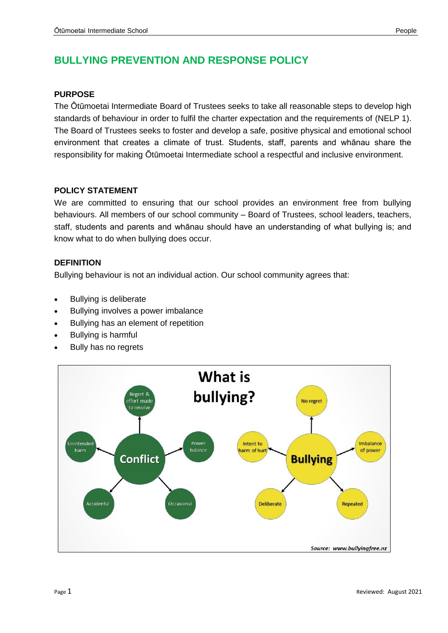# **BULLYING PREVENTION AND RESPONSE POLICY**

#### **PURPOSE**

The Ōtūmoetai Intermediate Board of Trustees seeks to take all reasonable steps to develop high standards of behaviour in order to fulfil the charter expectation and the requirements of (NELP 1). The Board of Trustees seeks to foster and develop a safe, positive physical and emotional school environment that creates a climate of trust. Students, staff, parents and whānau share the responsibility for making Ōtūmoetai Intermediate school a respectful and inclusive environment.

#### **POLICY STATEMENT**

We are committed to ensuring that our school provides an environment free from bullying behaviours. All members of our school community – Board of Trustees, school leaders, teachers, staff, students and parents and whānau should have an understanding of what bullying is; and know what to do when bullying does occur.

#### **DEFINITION**

Bullying behaviour is not an individual action. Our school community agrees that:

- Bullying is deliberate
- Bullying involves a power imbalance
- Bullying has an element of repetition
- Bullying is harmful
- Bully has no regrets

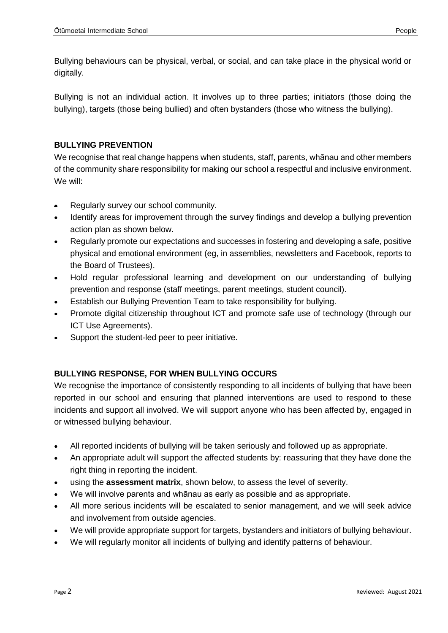Bullying behaviours can be physical, verbal, or social, and can take place in the physical world or digitally.

Bullying is not an individual action. It involves up to three parties; initiators (those doing the bullying), targets (those being bullied) and often bystanders (those who witness the bullying).

## **BULLYING PREVENTION**

We recognise that real change happens when students, staff, parents, whānau and other members of the community share responsibility for making our school a respectful and inclusive environment. We will:

- Regularly survey our school community.
- Identify areas for improvement through the survey findings and develop a bullying prevention action plan as shown below.
- Regularly promote our expectations and successes in fostering and developing a safe, positive physical and emotional environment (eg, in assemblies, newsletters and Facebook, reports to the Board of Trustees).
- Hold regular professional learning and development on our understanding of bullying prevention and response (staff meetings, parent meetings, student council).
- Establish our Bullying Prevention Team to take responsibility for bullying.
- Promote digital citizenship throughout ICT and promote safe use of technology (through our ICT Use Agreements).
- Support the student-led peer to peer initiative.

# **BULLYING RESPONSE, FOR WHEN BULLYING OCCURS**

We recognise the importance of consistently responding to all incidents of bullying that have been reported in our school and ensuring that planned interventions are used to respond to these incidents and support all involved. We will support anyone who has been affected by, engaged in or witnessed bullying behaviour.

- All reported incidents of bullying will be taken seriously and followed up as appropriate.
- An appropriate adult will support the affected students by: reassuring that they have done the right thing in reporting the incident.
- using the **assessment matrix**, shown below, to assess the level of severity.
- We will involve parents and whānau as early as possible and as appropriate.
- All more serious incidents will be escalated to senior management, and we will seek advice and involvement from outside agencies.
- We will provide appropriate support for targets, bystanders and initiators of bullying behaviour.
- We will regularly monitor all incidents of bullying and identify patterns of behaviour.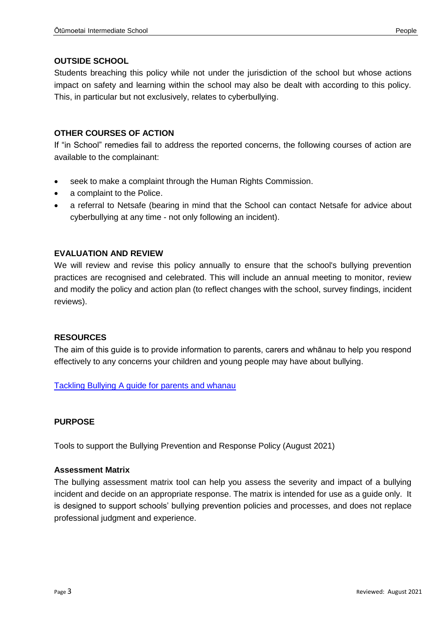## **OUTSIDE SCHOOL**

Students breaching this policy while not under the jurisdiction of the school but whose actions impact on safety and learning within the school may also be dealt with according to this policy. This, in particular but not exclusively, relates to cyberbullying.

## **OTHER COURSES OF ACTION**

If "in School" remedies fail to address the reported concerns, the following courses of action are available to the complainant:

- seek to make a complaint through the Human Rights Commission.
- a complaint to the Police.
- a referral to Netsafe (bearing in mind that the School can contact Netsafe for advice about cyberbullying at any time - not only following an incident).

#### **EVALUATION AND REVIEW**

We will review and revise this policy annually to ensure that the school's bullying prevention practices are recognised and celebrated. This will include an annual meeting to monitor, review and modify the policy and action plan (to reflect changes with the school, survey findings, incident reviews).

#### **RESOURCES**

The aim of this guide is to provide information to parents, carers and whānau to help you respond effectively to any concerns your children and young people may have about bullying.

[Tackling Bullying A guide for parents and whanau](https://www.bullyingfree.nz/assets/Uploads/Tackling-Bullying-A-guide-for-parents-and-whanau.pdf)

#### **PURPOSE**

Tools to support the Bullying Prevention and Response Policy (August 2021)

#### **Assessment Matrix**

The bullying assessment matrix tool can help you assess the severity and impact of a bullying incident and decide on an appropriate response. The matrix is intended for use as a guide only. It is designed to support schools' bullying prevention policies and processes, and does not replace professional judgment and experience.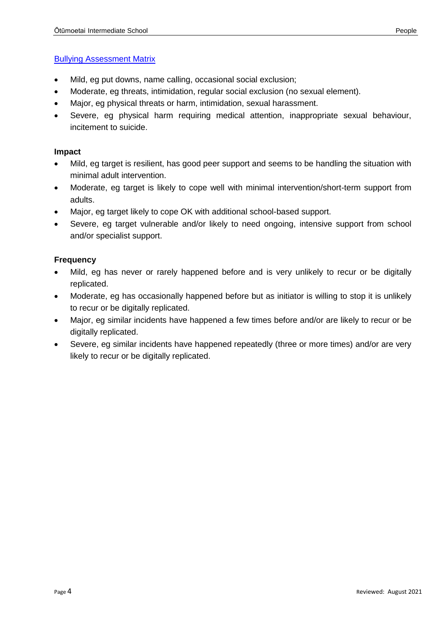#### [Bullying Assessment Matrix](https://www.bullyingfree.nz/bullying-assessment-matrix/)

- Mild, eg put downs, name calling, occasional social exclusion;
- Moderate, eg threats, intimidation, regular social exclusion (no sexual element).
- Major, eg physical threats or harm, intimidation, sexual harassment.
- Severe, eg physical harm requiring medical attention, inappropriate sexual behaviour, incitement to suicide.

#### **Impact**

- Mild, eg target is resilient, has good peer support and seems to be handling the situation with minimal adult intervention.
- Moderate, eg target is likely to cope well with minimal intervention/short-term support from adults.
- Major, eg target likely to cope OK with additional school-based support.
- Severe, eg target vulnerable and/or likely to need ongoing, intensive support from school and/or specialist support.

#### **Frequency**

- Mild, eg has never or rarely happened before and is very unlikely to recur or be digitally replicated.
- Moderate, eg has occasionally happened before but as initiator is willing to stop it is unlikely to recur or be digitally replicated.
- Major, eg similar incidents have happened a few times before and/or are likely to recur or be digitally replicated.
- Severe, eg similar incidents have happened repeatedly (three or more times) and/or are very likely to recur or be digitally replicated.